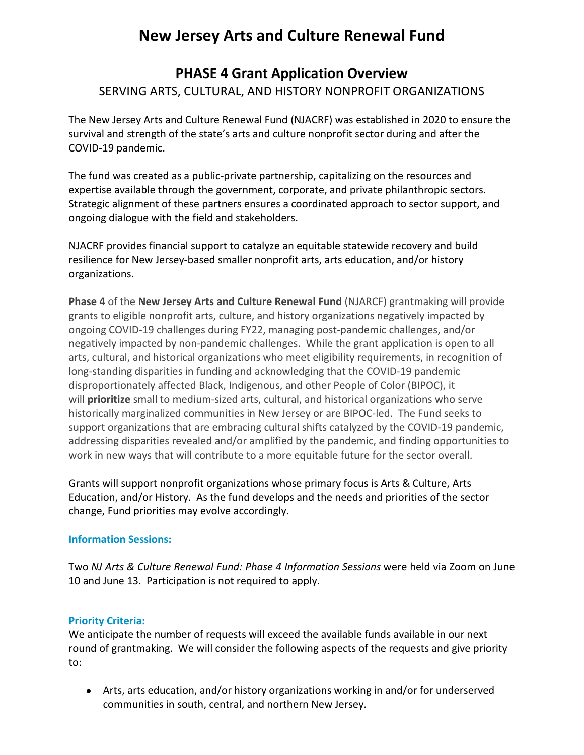# **New Jersey Arts and Culture Renewal Fund**

## **PHASE 4 Grant Application Overview** SERVING ARTS, CULTURAL, AND HISTORY NONPROFIT ORGANIZATIONS

The New Jersey Arts and Culture Renewal Fund (NJACRF) was established in 2020 to ensure the survival and strength of the state's arts and culture nonprofit sector during and after the COVID-19 pandemic.

The fund was created as a public-private partnership, capitalizing on the resources and expertise available through the government, corporate, and private philanthropic sectors. Strategic alignment of these partners ensures a coordinated approach to sector support, and ongoing dialogue with the field and stakeholders.

NJACRF provides financial support to catalyze an equitable statewide recovery and build resilience for New Jersey-based smaller nonprofit arts, arts education, and/or history organizations.

**Phase 4** of the **New Jersey Arts and Culture Renewal Fund** (NJARCF) grantmaking will provide grants to eligible nonprofit arts, culture, and history organizations negatively impacted by ongoing COVID-19 challenges during FY22, managing post-pandemic challenges, and/or negatively impacted by non-pandemic challenges. While the grant application is open to all arts, cultural, and historical organizations who meet eligibility requirements, in recognition of long-standing disparities in funding and acknowledging that the COVID-19 pandemic disproportionately affected Black, Indigenous, and other People of Color (BIPOC), it will **prioritize** small to medium-sized arts, cultural, and historical organizations who serve historically marginalized communities in New Jersey or are BIPOC-led. The Fund seeks to support organizations that are embracing cultural shifts catalyzed by the COVID-19 pandemic, addressing disparities revealed and/or amplified by the pandemic, and finding opportunities to work in new ways that will contribute to a more equitable future for the sector overall.

Grants will support nonprofit organizations whose primary focus is Arts & Culture, Arts Education, and/or History. As the fund develops and the needs and priorities of the sector change, Fund priorities may evolve accordingly.

#### **Information Sessions:**

Two *NJ Arts & Culture Renewal Fund: Phase 4 Information Sessions* were held via Zoom on June 10 and June 13. Participation is not required to apply.

#### **Priority Criteria:**

We anticipate the number of requests will exceed the available funds available in our next round of grantmaking. We will consider the following aspects of the requests and give priority to:

● Arts, arts education, and/or history organizations working in and/or for underserved communities in south, central, and northern New Jersey.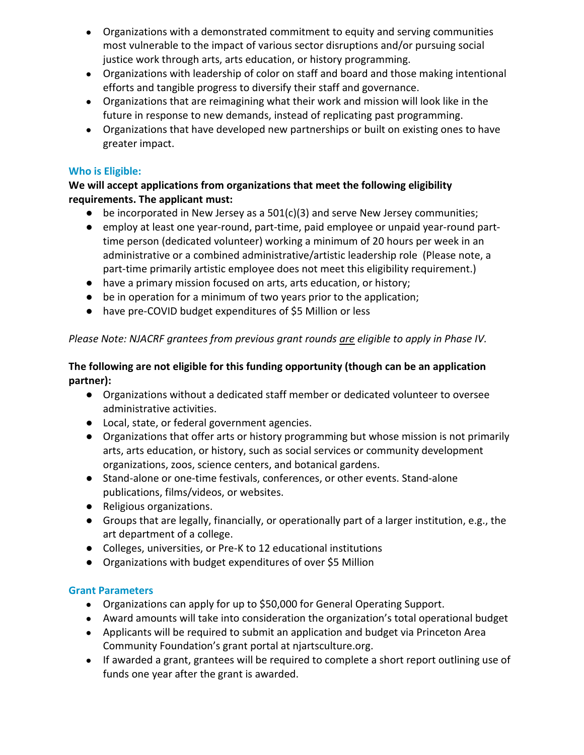- Organizations with a demonstrated commitment to equity and serving communities most vulnerable to the impact of various sector disruptions and/or pursuing social justice work through arts, arts education, or history programming.
- Organizations with leadership of color on staff and board and those making intentional efforts and tangible progress to diversify their staff and governance.
- Organizations that are reimagining what their work and mission will look like in the future in response to new demands, instead of replicating past programming.
- Organizations that have developed new partnerships or built on existing ones to have greater impact.

#### **Who is Eligible:**

#### **We will accept applications from organizations that meet the following eligibility requirements. The applicant must:**

- $\bullet$  be incorporated in New Jersey as a 501(c)(3) and serve New Jersey communities;
- employ at least one year-round, part-time, paid employee or unpaid year-round parttime person (dedicated volunteer) working a minimum of 20 hours per week in an administrative or a combined administrative/artistic leadership role (Please note, a part-time primarily artistic employee does not meet this eligibility requirement.)
- have a primary mission focused on arts, arts education, or history;
- be in operation for a minimum of two years prior to the application;
- have pre-COVID budget expenditures of \$5 Million or less

## *Please Note: NJACRF grantees from previous grant rounds are eligible to apply in Phase IV.*

#### **The following are not eligible for this funding opportunity (though can be an application partner):**

- Organizations without a dedicated staff member or dedicated volunteer to oversee administrative activities.
- Local, state, or federal government agencies.
- Organizations that offer arts or history programming but whose mission is not primarily arts, arts education, or history, such as social services or community development organizations, zoos, science centers, and botanical gardens.
- Stand-alone or one-time festivals, conferences, or other events. Stand-alone publications, films/videos, or websites.
- Religious organizations.
- Groups that are legally, financially, or operationally part of a larger institution, e.g., the art department of a college.
- Colleges, universities, or Pre-K to 12 educational institutions
- Organizations with budget expenditures of over \$5 Million

## **Grant Parameters**

- Organizations can apply for up to \$50,000 for General Operating Support.
- Award amounts will take into consideration the organization's total operational budget
- Applicants will be required to submit an application and budget via Princeton Area Community Foundation's grant portal at njartsculture.org.
- If awarded a grant, grantees will be required to complete a short report outlining use of funds one year after the grant is awarded.